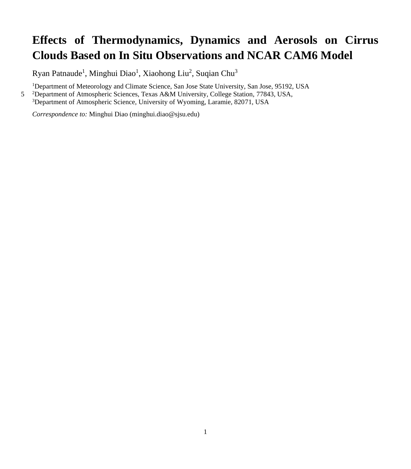## **Effects of Thermodynamics, Dynamics and Aerosols on Cirrus Clouds Based on In Situ Observations and NCAR CAM6 Model**

Ryan Patnaude<sup>1</sup>, Minghui Diao<sup>1</sup>, Xiaohong Liu<sup>2</sup>, Suqian Chu<sup>3</sup>

<sup>1</sup>Department of Meteorology and Climate Science, San Jose State University, San Jose, 95192, USA

5 <sup>2</sup>Department of Atmospheric Sciences, Texas A&M University, College Station, 77843, USA,

<sup>3</sup>Department of Atmospheric Science, University of Wyoming, Laramie, 82071, USA

*Correspondence to:* Minghui Diao (minghui.diao@sjsu.edu)